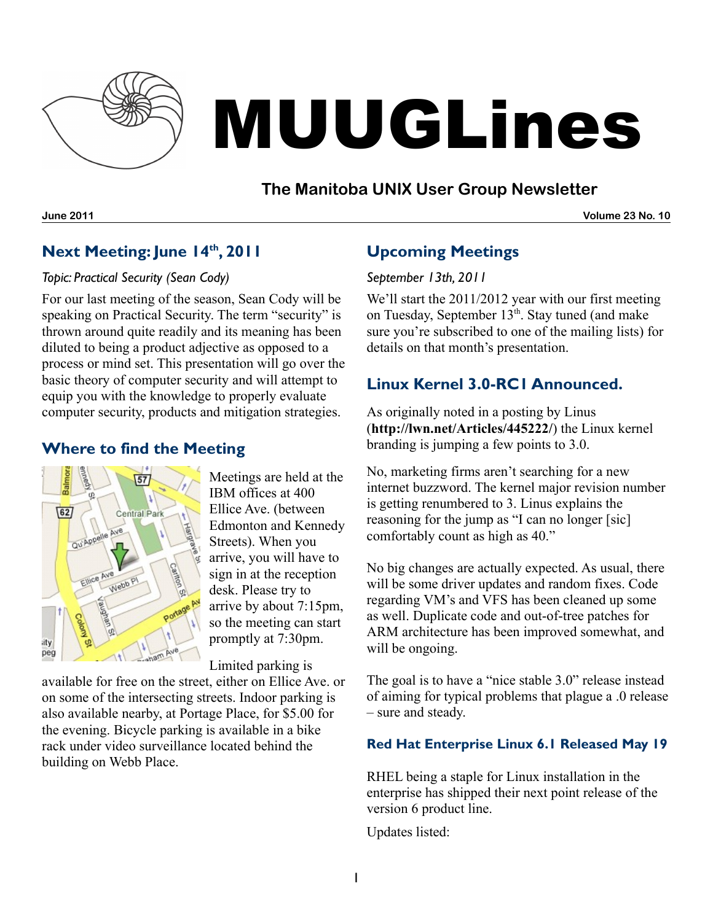

# MUUGLines

# **The Manitoba UNIX User Group Newsletter**

**June 2011 Volume 23 No. 10**

# **Next Meeting: June 14 th , 2011**

#### *Topic: Practical Security (Sean Cody)*

For our last meeting of the season, Sean Cody will be speaking on Practical Security. The term "security" is thrown around quite readily and its meaning has been diluted to being a product adjective as opposed to a process or mind set. This presentation will go over the basic theory of computer security and will attempt to equip you with the knowledge to properly evaluate computer security, products and mitigation strategies.

## **Where to find the Meeting**



Meetings are held at the IBM offices at 400 Ellice Ave. (between Edmonton and Kennedy Streets). When you arrive, you will have to sign in at the reception desk. Please try to arrive by about 7:15pm, so the meeting can start promptly at 7:30pm.

Limited parking is

available for free on the street, either on Ellice Ave. or on some of the intersecting streets. Indoor parking is also available nearby, at Portage Place, for \$5.00 for the evening. Bicycle parking is available in a bike rack under video surveillance located behind the building on Webb Place.

# **Upcoming Meetings**

#### *September 13th, 2011*

We'll start the 2011/2012 year with our first meeting on Tuesday, September 13<sup>th</sup>. Stay tuned (and make sure you're subscribed to one of the mailing lists) for details on that month's presentation.

## **Linux Kernel 3.0-RC1 Announced.**

As originally noted in a posting by Linus (**<http://lwn.net/Articles/445222/>**) the Linux kernel branding is jumping a few points to 3.0.

No, marketing firms aren't searching for a new internet buzzword. The kernel major revision number is getting renumbered to 3. Linus explains the reasoning for the jump as "I can no longer [sic] comfortably count as high as 40."

No big changes are actually expected. As usual, there will be some driver updates and random fixes. Code regarding VM's and VFS has been cleaned up some as well. Duplicate code and out-of-tree patches for ARM architecture has been improved somewhat, and will be ongoing.

The goal is to have a "nice stable 3.0" release instead of aiming for typical problems that plague a .0 release – sure and steady.

#### **Red Hat Enterprise Linux 6.1 Released May 19**

RHEL being a staple for Linux installation in the enterprise has shipped their next point release of the version 6 product line.

Updates listed: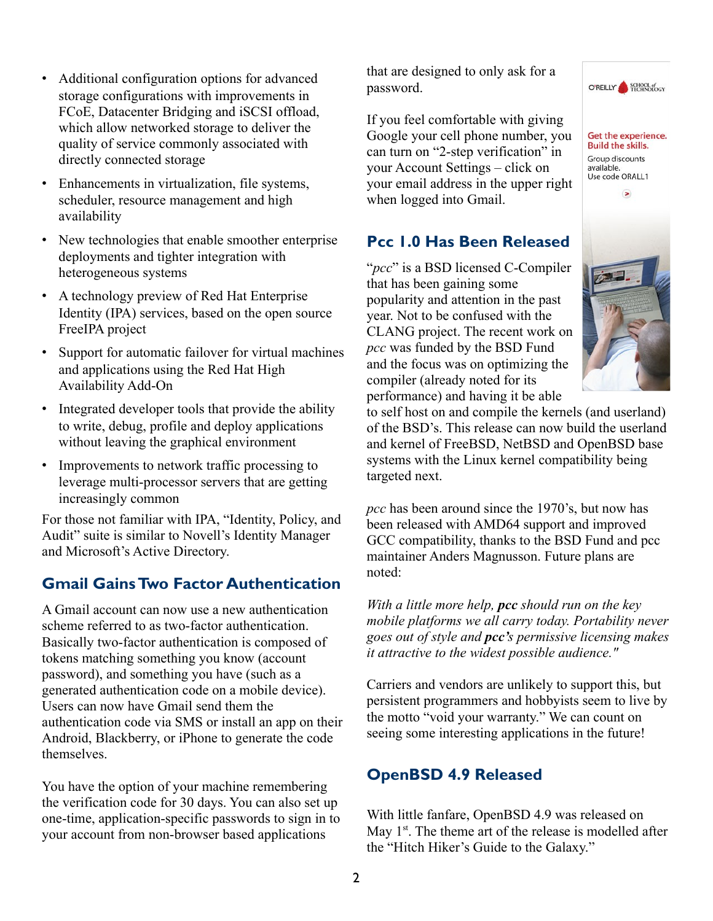- Additional configuration options for advanced storage configurations with improvements in FCoE, Datacenter Bridging and iSCSI offload, which allow networked storage to deliver the quality of service commonly associated with directly connected storage
- Enhancements in virtualization, file systems, scheduler, resource management and high availability
- New technologies that enable smoother enterprise deployments and tighter integration with heterogeneous systems
- A technology preview of Red Hat Enterprise Identity (IPA) services, based on the open source FreeIPA project
- Support for automatic failover for virtual machines and applications using the Red Hat High Availability Add-On
- Integrated developer tools that provide the ability to write, debug, profile and deploy applications without leaving the graphical environment
- Improvements to network traffic processing to leverage multi-processor servers that are getting increasingly common

For those not familiar with IPA, "Identity, Policy, and Audit" suite is similar to Novell's Identity Manager and Microsoft's Active Directory.

# **Gmail GainsTwo Factor Authentication**

A Gmail account can now use a new authentication scheme referred to as two-factor authentication. Basically two-factor authentication is composed of tokens matching something you know (account password), and something you have (such as a generated authentication code on a mobile device). Users can now have Gmail send them the authentication code via SMS or install an app on their Android, Blackberry, or iPhone to generate the code themselves.

You have the option of your machine remembering the verification code for 30 days. You can also set up one-time, application-specific passwords to sign in to your account from non-browser based applications

that are designed to only ask for a password.

If you feel comfortable with giving Google your cell phone number, you can turn on "2-step verification" in your Account Settings – click on your email address in the upper right when logged into Gmail.

# **Pcc 1.0 Has Been Released**

"*pcc*" is a BSD licensed C-Compiler that has been gaining some popularity and attention in the past year. Not to be confused with the CLANG project. The recent work on *pcc* was funded by the BSD Fund and the focus was on optimizing the compiler (already noted for its performance) and having it be able



O'REILLY SCHOOL of

Get the experience. **Build the skills.** 

to self host on and compile the kernels (and userland) of the BSD's. This release can now build the userland and kernel of FreeBSD, NetBSD and OpenBSD base systems with the Linux kernel compatibility being targeted next.

*pcc* has been around since the 1970's, but now has been released with AMD64 support and improved GCC compatibility, thanks to the BSD Fund and pcc maintainer Anders Magnusson. Future plans are noted:

*With a little more help, pcc should run on the key mobile platforms we all carry today. Portability never goes out of style and pcc's permissive licensing makes it attractive to the widest possible audience."*

Carriers and vendors are unlikely to support this, but persistent programmers and hobbyists seem to live by the motto "void your warranty." We can count on seeing some interesting applications in the future!

# **OpenBSD 4.9 Released**

With little fanfare, OpenBSD 4.9 was released on May  $1<sup>st</sup>$ . The theme art of the release is modelled after the "Hitch Hiker's Guide to the Galaxy."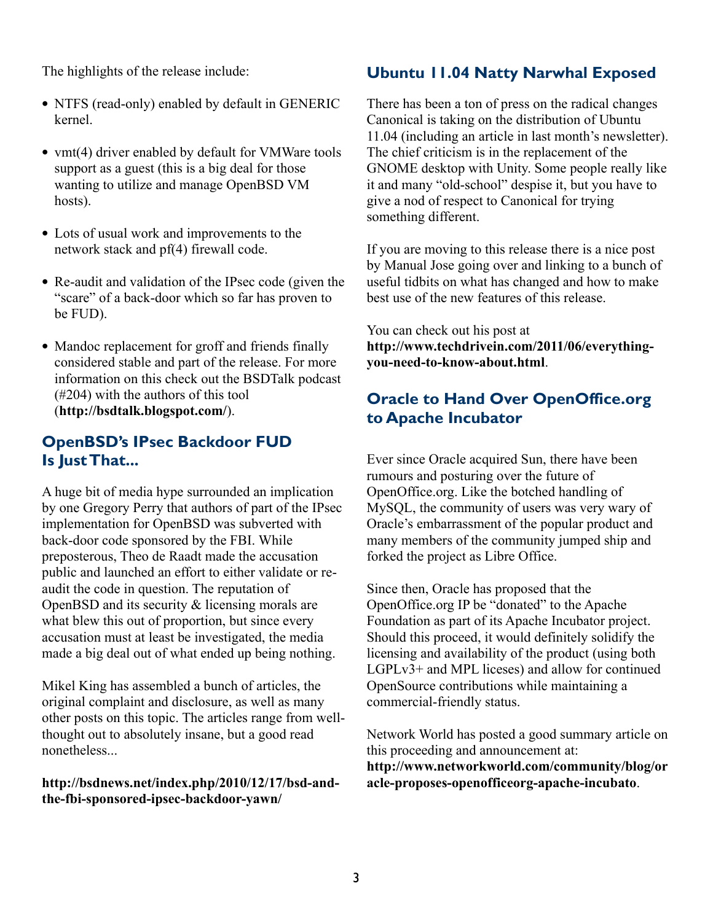The highlights of the release include:

- NTFS (read-only) enabled by default in GENERIC kernel.
- vmt(4) driver enabled by default for VMWare tools support as a guest (this is a big deal for those wanting to utilize and manage OpenBSD VM hosts).
- Lots of usual work and improvements to the network stack and pf(4) firewall code.
- Re-audit and validation of the IPsec code (given the "scare" of a back-door which so far has proven to be FUD).
- Mandoc replacement for groff and friends finally considered stable and part of the release. For more information on this check out the BSDTalk podcast (#204) with the authors of this tool (**<http://bsdtalk.blogspot.com/>**).

#### **OpenBSD's IPsec Backdoor FUD Is JustThat...**

A huge bit of media hype surrounded an implication by one Gregory Perry that authors of part of the IPsec implementation for OpenBSD was subverted with back-door code sponsored by the FBI. While preposterous, Theo de Raadt made the accusation public and launched an effort to either validate or reaudit the code in question. The reputation of OpenBSD and its security & licensing morals are what blew this out of proportion, but since every accusation must at least be investigated, the media made a big deal out of what ended up being nothing.

Mikel King has assembled a bunch of articles, the original complaint and disclosure, as well as many other posts on this topic. The articles range from wellthought out to absolutely insane, but a good read nonetheless...

#### **[http://bsdnews.net/index.php/2010/12/17/bsd-and](http://bsdnews.net/index.php/2010/12/17/bsd-and-the-fbi-sponsored-ipsec-backdoor-yawn/)[the-fbi-sponsored-ipsec-backdoor-yawn/](http://bsdnews.net/index.php/2010/12/17/bsd-and-the-fbi-sponsored-ipsec-backdoor-yawn/)**

## **Ubuntu 11.04 Natty Narwhal Exposed**

There has been a ton of press on the radical changes Canonical is taking on the distribution of Ubuntu 11.04 (including an article in last month's newsletter). The chief criticism is in the replacement of the GNOME desktop with Unity. Some people really like it and many "old-school" despise it, but you have to give a nod of respect to Canonical for trying something different.

If you are moving to this release there is a nice post by Manual Jose going over and linking to a bunch of useful tidbits on what has changed and how to make best use of the new features of this release.

You can check out his post at **[http://www.techdrivein.com/2011/06/everything](http://www.techdrivein.com/2011/06/everything-you-need-to-know-about.html)[you-need-to-know-about.html](http://www.techdrivein.com/2011/06/everything-you-need-to-know-about.html)**.

## **Oracle to Hand Over OpenOffice.org to Apache Incubator**

Ever since Oracle acquired Sun, there have been rumours and posturing over the future of OpenOffice.org. Like the botched handling of MySQL, the community of users was very wary of Oracle's embarrassment of the popular product and many members of the community jumped ship and forked the project as Libre Office.

Since then, Oracle has proposed that the OpenOffice.org IP be "donated" to the Apache Foundation as part of its Apache Incubator project. Should this proceed, it would definitely solidify the licensing and availability of the product (using both LGPLv3+ and MPL liceses) and allow for continued OpenSource contributions while maintaining a commercial-friendly status.

Network World has posted a good summary article on this proceeding and announcement at: **[http://www.networkworld.com/community/blog/or](http://www.networkworld.com/community/blog/oracle-proposes-openofficeorg-apache-incubato) [acle-proposes-openofficeorg-apache-incubato](http://www.networkworld.com/community/blog/oracle-proposes-openofficeorg-apache-incubato)**.